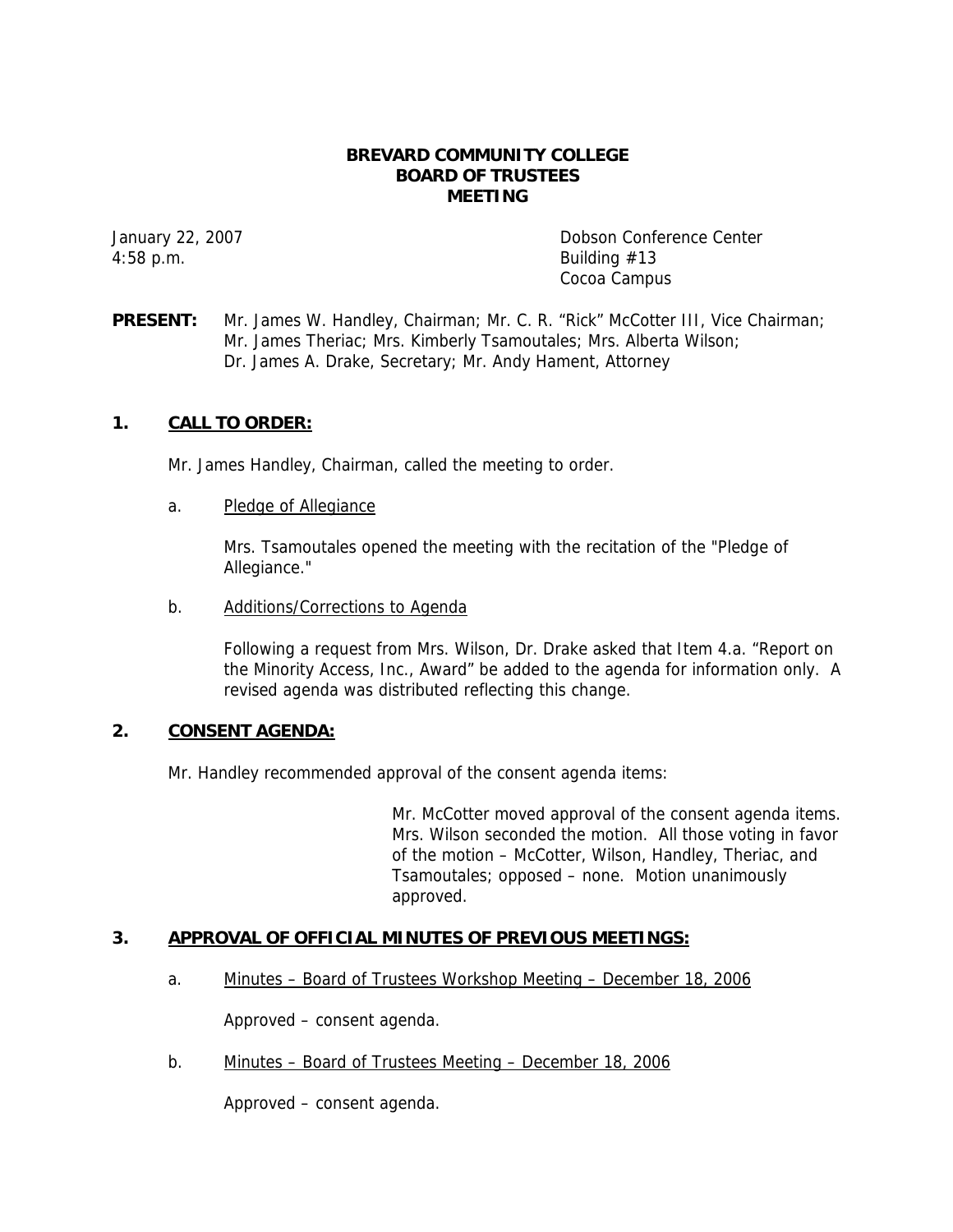### **BREVARD COMMUNITY COLLEGE BOARD OF TRUSTEES MEETING**

4:58 p.m. Building #13

January 22, 2007 Dobson Conference Center Cocoa Campus

**PRESENT:** Mr. James W. Handley, Chairman; Mr. C. R. "Rick" McCotter III, Vice Chairman; Mr. James Theriac; Mrs. Kimberly Tsamoutales; Mrs. Alberta Wilson; Dr. James A. Drake, Secretary; Mr. Andy Hament, Attorney

## **1. CALL TO ORDER:**

Mr. James Handley, Chairman, called the meeting to order.

a. Pledge of Allegiance

Mrs. Tsamoutales opened the meeting with the recitation of the "Pledge of Allegiance."

b. Additions/Corrections to Agenda

Following a request from Mrs. Wilson, Dr. Drake asked that Item 4.a. "Report on the Minority Access, Inc., Award" be added to the agenda for information only. A revised agenda was distributed reflecting this change.

## **2. CONSENT AGENDA:**

Mr. Handley recommended approval of the consent agenda items:

Mr. McCotter moved approval of the consent agenda items. Mrs. Wilson seconded the motion. All those voting in favor of the motion – McCotter, Wilson, Handley, Theriac, and Tsamoutales; opposed – none. Motion unanimously approved.

## **3. APPROVAL OF OFFICIAL MINUTES OF PREVIOUS MEETINGS:**

a. Minutes – Board of Trustees Workshop Meeting – December 18, 2006

Approved – consent agenda.

b. Minutes – Board of Trustees Meeting – December 18, 2006

Approved – consent agenda.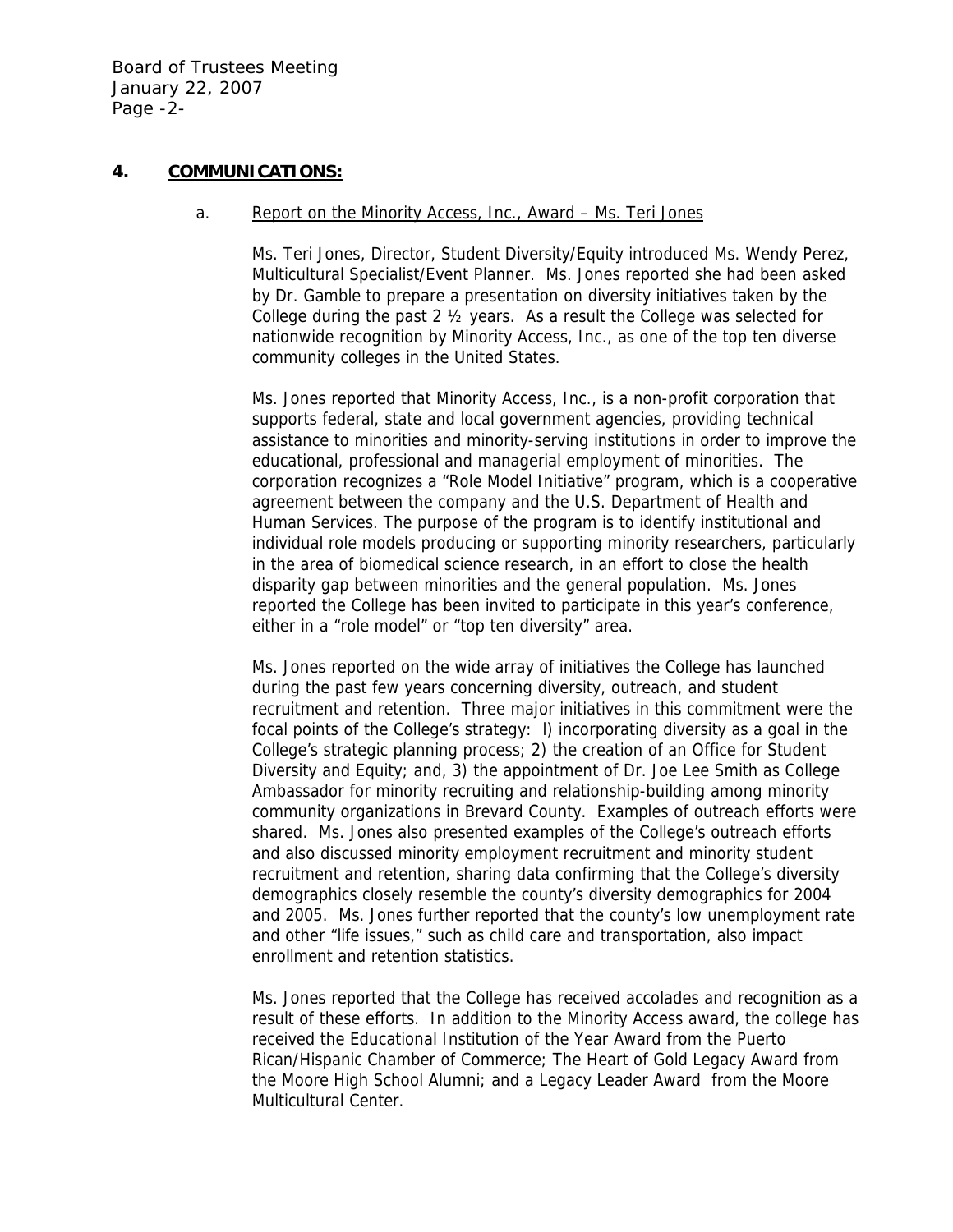Board of Trustees Meeting January 22, 2007 Page -2-

## **4. COMMUNICATIONS:**

#### a. Report on the Minority Access, Inc., Award – Ms. Teri Jones

Ms. Teri Jones, Director, Student Diversity/Equity introduced Ms. Wendy Perez, Multicultural Specialist/Event Planner. Ms. Jones reported she had been asked by Dr. Gamble to prepare a presentation on diversity initiatives taken by the College during the past 2 ½ years. As a result the College was selected for nationwide recognition by Minority Access, Inc., as one of the top ten diverse community colleges in the United States.

Ms. Jones reported that Minority Access, Inc., is a non-profit corporation that supports federal, state and local government agencies, providing technical assistance to minorities and minority-serving institutions in order to improve the educational, professional and managerial employment of minorities. The corporation recognizes a "Role Model Initiative" program, which is a cooperative agreement between the company and the U.S. Department of Health and Human Services. The purpose of the program is to identify institutional and individual role models producing or supporting minority researchers, particularly in the area of biomedical science research, in an effort to close the health disparity gap between minorities and the general population. Ms. Jones reported the College has been invited to participate in this year's conference, either in a "role model" or "top ten diversity" area.

Ms. Jones reported on the wide array of initiatives the College has launched during the past few years concerning diversity, outreach, and student recruitment and retention. Three major initiatives in this commitment were the focal points of the College's strategy: l) incorporating diversity as a goal in the College's strategic planning process; 2) the creation of an Office for Student Diversity and Equity; and, 3) the appointment of Dr. Joe Lee Smith as College Ambassador for minority recruiting and relationship-building among minority community organizations in Brevard County. Examples of outreach efforts were shared. Ms. Jones also presented examples of the College's outreach efforts and also discussed minority employment recruitment and minority student recruitment and retention, sharing data confirming that the College's diversity demographics closely resemble the county's diversity demographics for 2004 and 2005. Ms. Jones further reported that the county's low unemployment rate and other "life issues," such as child care and transportation, also impact enrollment and retention statistics.

Ms. Jones reported that the College has received accolades and recognition as a result of these efforts. In addition to the Minority Access award, the college has received the Educational Institution of the Year Award from the Puerto Rican/Hispanic Chamber of Commerce; The Heart of Gold Legacy Award from the Moore High School Alumni; and a Legacy Leader Award from the Moore Multicultural Center.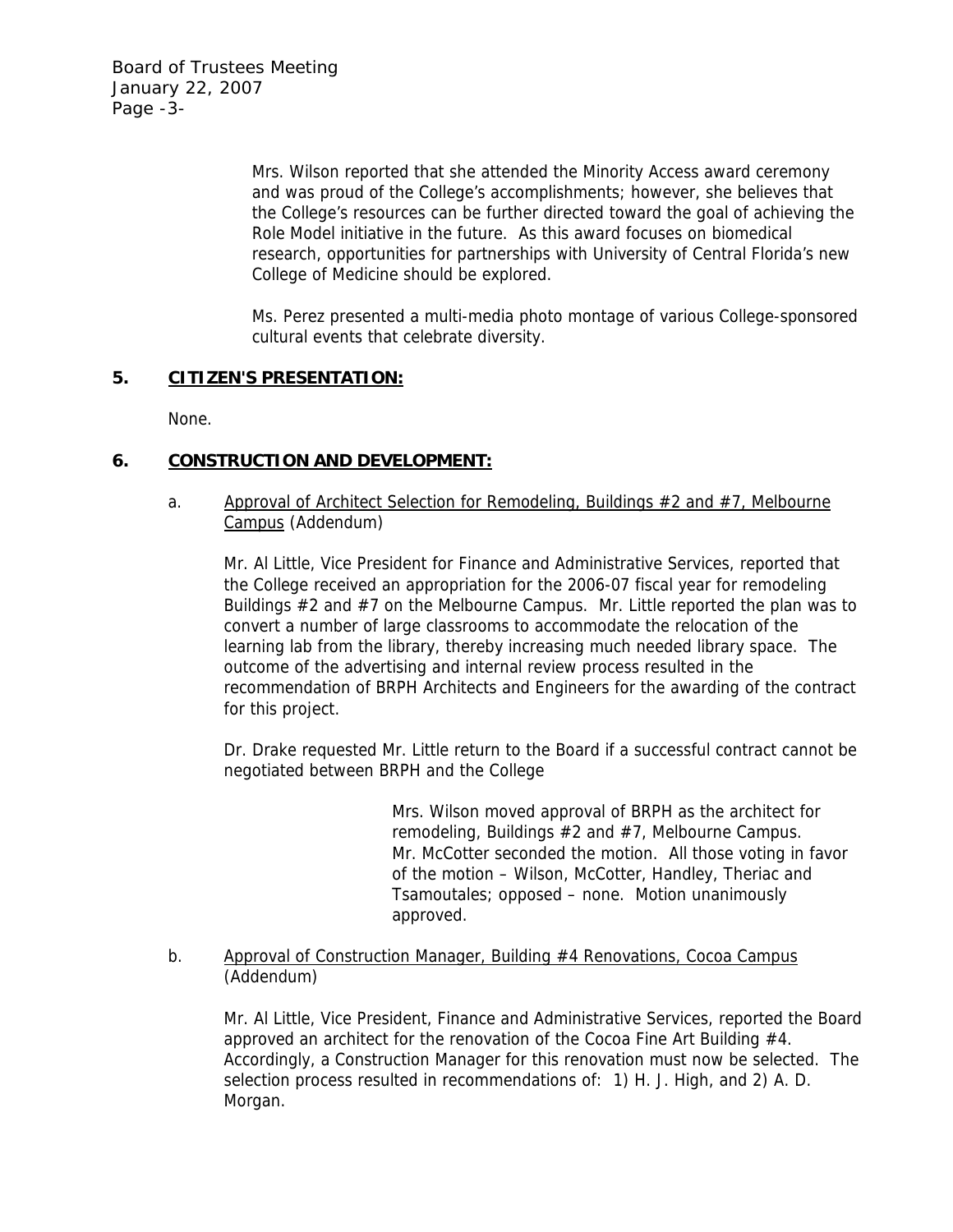Board of Trustees Meeting January 22, 2007 Page -3-

> Mrs. Wilson reported that she attended the Minority Access award ceremony and was proud of the College's accomplishments; however, she believes that the College's resources can be further directed toward the goal of achieving the Role Model initiative in the future. As this award focuses on biomedical research, opportunities for partnerships with University of Central Florida's new College of Medicine should be explored.

> Ms. Perez presented a multi-media photo montage of various College-sponsored cultural events that celebrate diversity.

## **5. CITIZEN'S PRESENTATION:**

None.

# **6. CONSTRUCTION AND DEVELOPMENT:**

a. Approval of Architect Selection for Remodeling, Buildings  $#2$  and  $#7$ , Melbourne Campus (Addendum)

Mr. Al Little, Vice President for Finance and Administrative Services, reported that the College received an appropriation for the 2006-07 fiscal year for remodeling Buildings  $#2$  and  $#7$  on the Melbourne Campus. Mr. Little reported the plan was to convert a number of large classrooms to accommodate the relocation of the learning lab from the library, thereby increasing much needed library space. The outcome of the advertising and internal review process resulted in the recommendation of BRPH Architects and Engineers for the awarding of the contract for this project.

Dr. Drake requested Mr. Little return to the Board if a successful contract cannot be negotiated between BRPH and the College

> Mrs. Wilson moved approval of BRPH as the architect for remodeling, Buildings #2 and #7, Melbourne Campus. Mr. McCotter seconded the motion. All those voting in favor of the motion – Wilson, McCotter, Handley, Theriac and Tsamoutales; opposed – none. Motion unanimously approved.

## b. Approval of Construction Manager, Building #4 Renovations, Cocoa Campus (Addendum)

Mr. Al Little, Vice President, Finance and Administrative Services, reported the Board approved an architect for the renovation of the Cocoa Fine Art Building #4. Accordingly, a Construction Manager for this renovation must now be selected. The selection process resulted in recommendations of: 1) H. J. High, and 2) A. D. Morgan.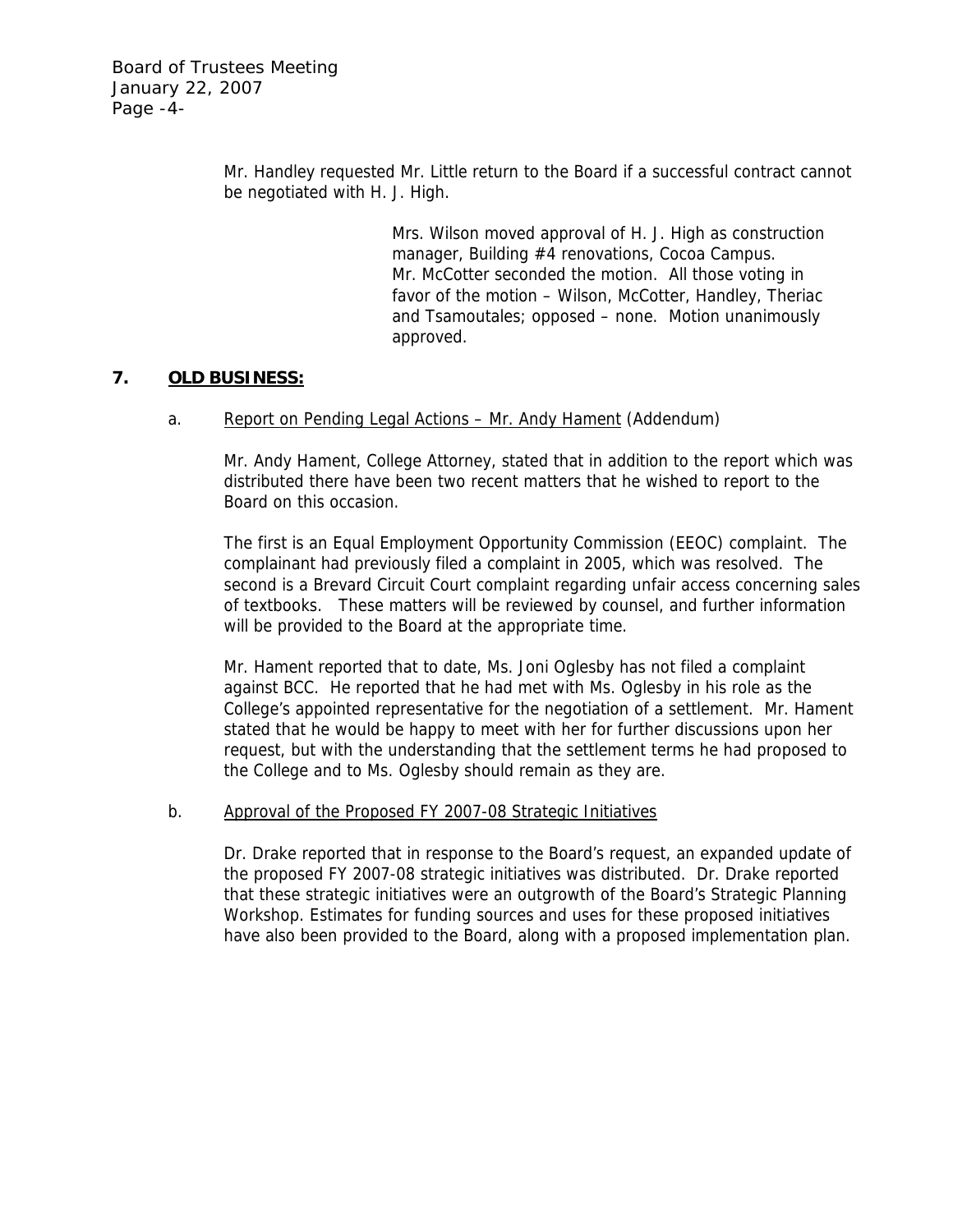Mr. Handley requested Mr. Little return to the Board if a successful contract cannot be negotiated with H. J. High.

> Mrs. Wilson moved approval of H. J. High as construction manager, Building #4 renovations, Cocoa Campus. Mr. McCotter seconded the motion. All those voting in favor of the motion – Wilson, McCotter, Handley, Theriac and Tsamoutales; opposed – none. Motion unanimously approved.

## **7. OLD BUSINESS:**

### a. Report on Pending Legal Actions – Mr. Andy Hament (Addendum)

Mr. Andy Hament, College Attorney, stated that in addition to the report which was distributed there have been two recent matters that he wished to report to the Board on this occasion.

The first is an Equal Employment Opportunity Commission (EEOC) complaint. The complainant had previously filed a complaint in 2005, which was resolved. The second is a Brevard Circuit Court complaint regarding unfair access concerning sales of textbooks. These matters will be reviewed by counsel, and further information will be provided to the Board at the appropriate time.

Mr. Hament reported that to date, Ms. Joni Oglesby has not filed a complaint against BCC. He reported that he had met with Ms. Oglesby in his role as the College's appointed representative for the negotiation of a settlement. Mr. Hament stated that he would be happy to meet with her for further discussions upon her request, but with the understanding that the settlement terms he had proposed to the College and to Ms. Oglesby should remain as they are.

### b. Approval of the Proposed FY 2007-08 Strategic Initiatives

Dr. Drake reported that in response to the Board's request, an expanded update of the proposed FY 2007-08 strategic initiatives was distributed. Dr. Drake reported that these strategic initiatives were an outgrowth of the Board's Strategic Planning Workshop. Estimates for funding sources and uses for these proposed initiatives have also been provided to the Board, along with a proposed implementation plan.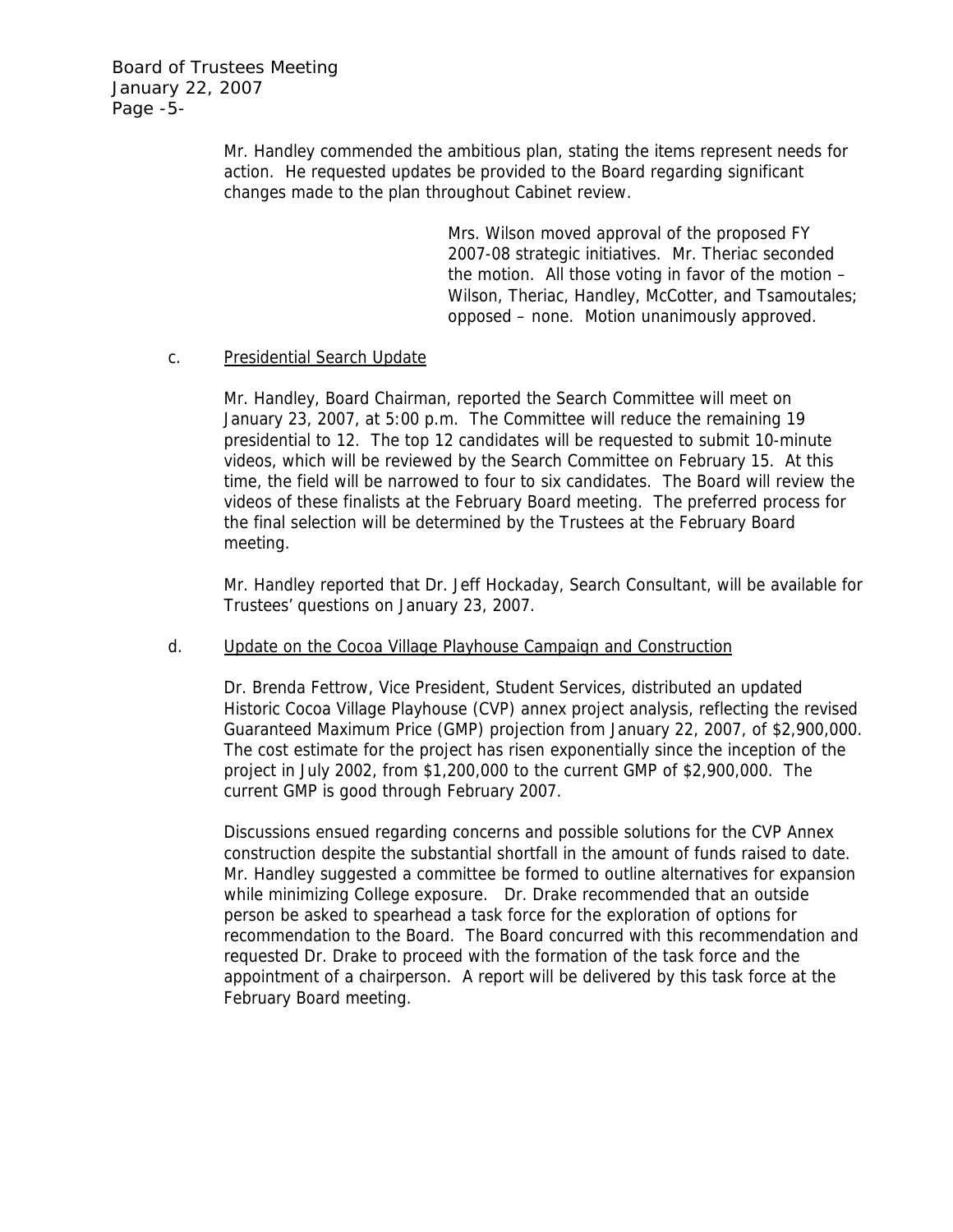Board of Trustees Meeting January 22, 2007 Page -5-

> Mr. Handley commended the ambitious plan, stating the items represent needs for action. He requested updates be provided to the Board regarding significant changes made to the plan throughout Cabinet review.

> > Mrs. Wilson moved approval of the proposed FY 2007-08 strategic initiatives. Mr. Theriac seconded the motion. All those voting in favor of the motion – Wilson, Theriac, Handley, McCotter, and Tsamoutales; opposed – none. Motion unanimously approved.

### c. Presidential Search Update

Mr. Handley, Board Chairman, reported the Search Committee will meet on January 23, 2007, at 5:00 p.m. The Committee will reduce the remaining 19 presidential to 12. The top 12 candidates will be requested to submit 10-minute videos, which will be reviewed by the Search Committee on February 15. At this time, the field will be narrowed to four to six candidates. The Board will review the videos of these finalists at the February Board meeting. The preferred process for the final selection will be determined by the Trustees at the February Board meeting.

Mr. Handley reported that Dr. Jeff Hockaday, Search Consultant, will be available for Trustees' questions on January 23, 2007.

### d. Update on the Cocoa Village Playhouse Campaign and Construction

Dr. Brenda Fettrow, Vice President, Student Services, distributed an updated Historic Cocoa Village Playhouse (CVP) annex project analysis, reflecting the revised Guaranteed Maximum Price (GMP) projection from January 22, 2007, of \$2,900,000. The cost estimate for the project has risen exponentially since the inception of the project in July 2002, from \$1,200,000 to the current GMP of \$2,900,000. The current GMP is good through February 2007.

Discussions ensued regarding concerns and possible solutions for the CVP Annex construction despite the substantial shortfall in the amount of funds raised to date. Mr. Handley suggested a committee be formed to outline alternatives for expansion while minimizing College exposure. Dr. Drake recommended that an outside person be asked to spearhead a task force for the exploration of options for recommendation to the Board. The Board concurred with this recommendation and requested Dr. Drake to proceed with the formation of the task force and the appointment of a chairperson. A report will be delivered by this task force at the February Board meeting.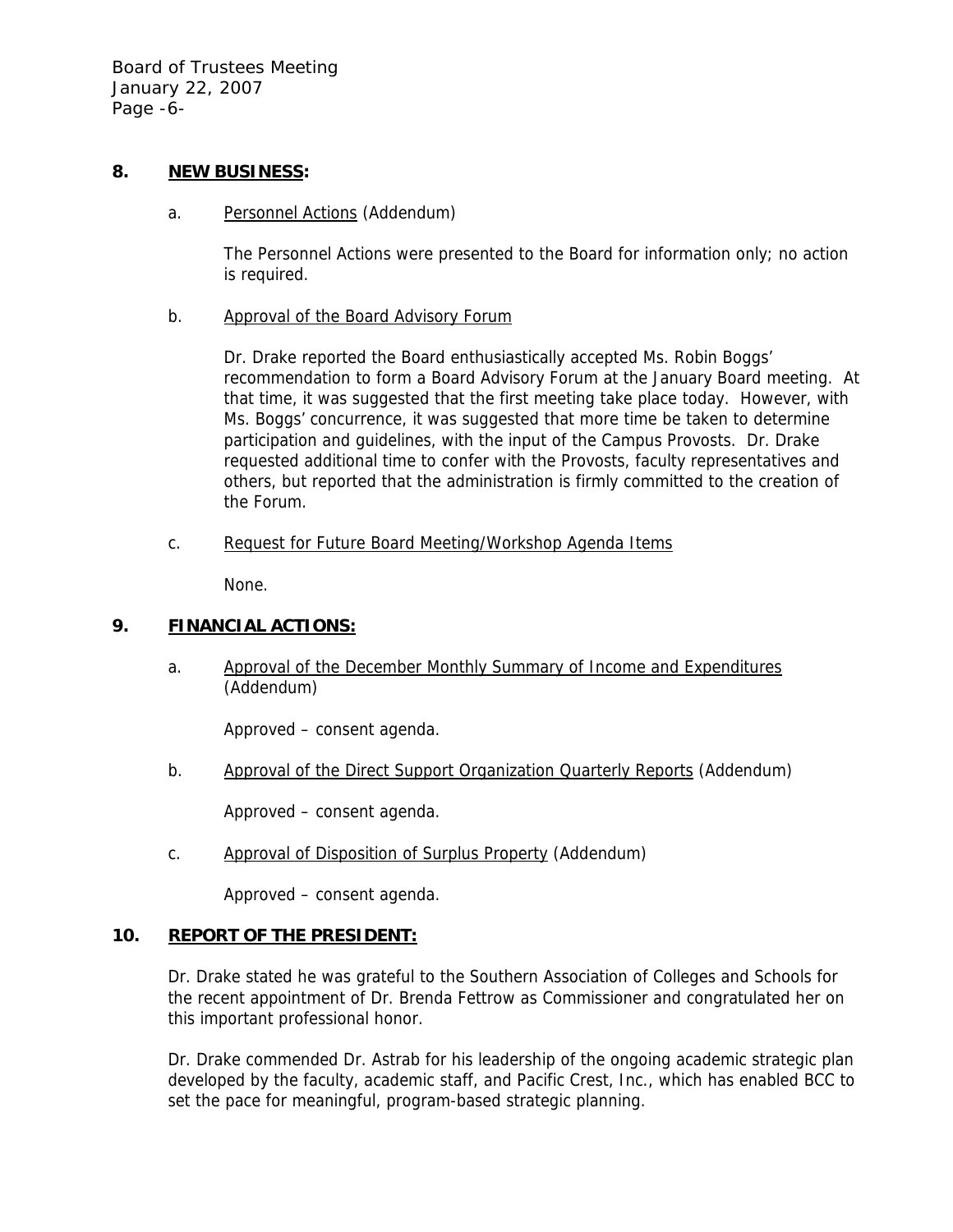Board of Trustees Meeting January 22, 2007 Page -6-

## **8. NEW BUSINESS:**

a. Personnel Actions (Addendum)

The Personnel Actions were presented to the Board for information only; no action is required.

b. Approval of the Board Advisory Forum

Dr. Drake reported the Board enthusiastically accepted Ms. Robin Boggs' recommendation to form a Board Advisory Forum at the January Board meeting. At that time, it was suggested that the first meeting take place today. However, with Ms. Boggs' concurrence, it was suggested that more time be taken to determine participation and guidelines, with the input of the Campus Provosts. Dr. Drake requested additional time to confer with the Provosts, faculty representatives and others, but reported that the administration is firmly committed to the creation of the Forum.

c. Request for Future Board Meeting/Workshop Agenda Items

None.

# **9. FINANCIAL ACTIONS:**

a. Approval of the December Monthly Summary of Income and Expenditures (Addendum)

Approved – consent agenda.

b. Approval of the Direct Support Organization Quarterly Reports (Addendum)

Approved – consent agenda.

c. Approval of Disposition of Surplus Property (Addendum)

Approved – consent agenda.

# **10. REPORT OF THE PRESIDENT:**

Dr. Drake stated he was grateful to the Southern Association of Colleges and Schools for the recent appointment of Dr. Brenda Fettrow as Commissioner and congratulated her on this important professional honor.

Dr. Drake commended Dr. Astrab for his leadership of the ongoing academic strategic plan developed by the faculty, academic staff, and Pacific Crest, Inc., which has enabled BCC to set the pace for meaningful, program-based strategic planning.